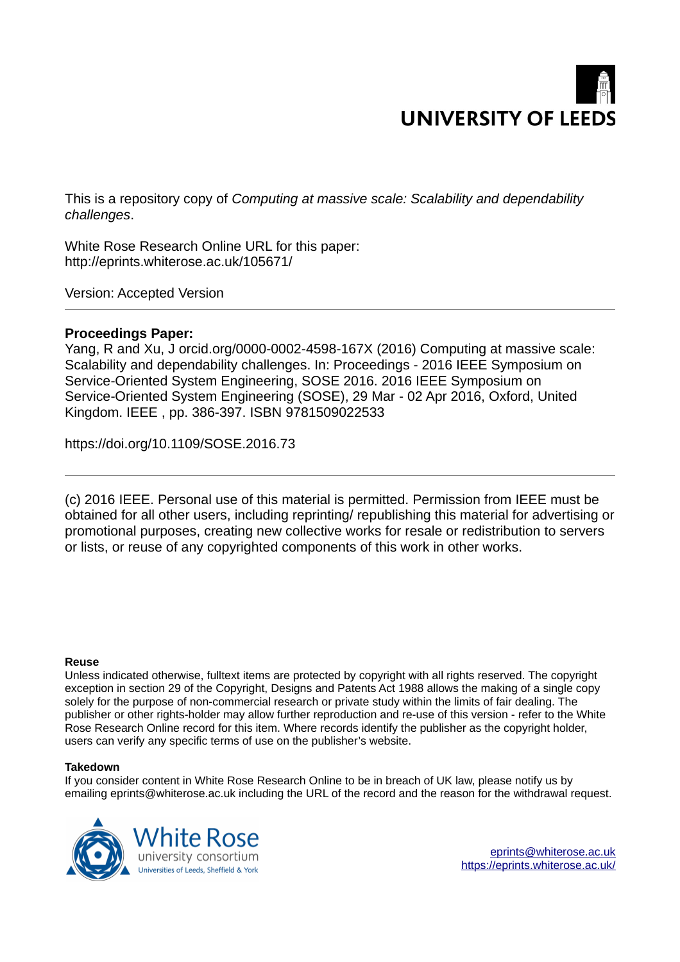

This is a repository copy of *Computing at massive scale: Scalability and dependability challenges*.

White Rose Research Online URL for this paper: http://eprints.whiterose.ac.uk/105671/

Version: Accepted Version

# **Proceedings Paper:**

Yang, R and Xu, J orcid.org/0000-0002-4598-167X (2016) Computing at massive scale: Scalability and dependability challenges. In: Proceedings - 2016 IEEE Symposium on Service-Oriented System Engineering, SOSE 2016. 2016 IEEE Symposium on Service-Oriented System Engineering (SOSE), 29 Mar - 02 Apr 2016, Oxford, United Kingdom. IEEE , pp. 386-397. ISBN 9781509022533

https://doi.org/10.1109/SOSE.2016.73

(c) 2016 IEEE. Personal use of this material is permitted. Permission from IEEE must be obtained for all other users, including reprinting/ republishing this material for advertising or promotional purposes, creating new collective works for resale or redistribution to servers or lists, or reuse of any copyrighted components of this work in other works.

# **Reuse**

Unless indicated otherwise, fulltext items are protected by copyright with all rights reserved. The copyright exception in section 29 of the Copyright, Designs and Patents Act 1988 allows the making of a single copy solely for the purpose of non-commercial research or private study within the limits of fair dealing. The publisher or other rights-holder may allow further reproduction and re-use of this version - refer to the White Rose Research Online record for this item. Where records identify the publisher as the copyright holder, users can verify any specific terms of use on the publisher's website.

# **Takedown**

If you consider content in White Rose Research Online to be in breach of UK law, please notify us by emailing eprints@whiterose.ac.uk including the URL of the record and the reason for the withdrawal request.

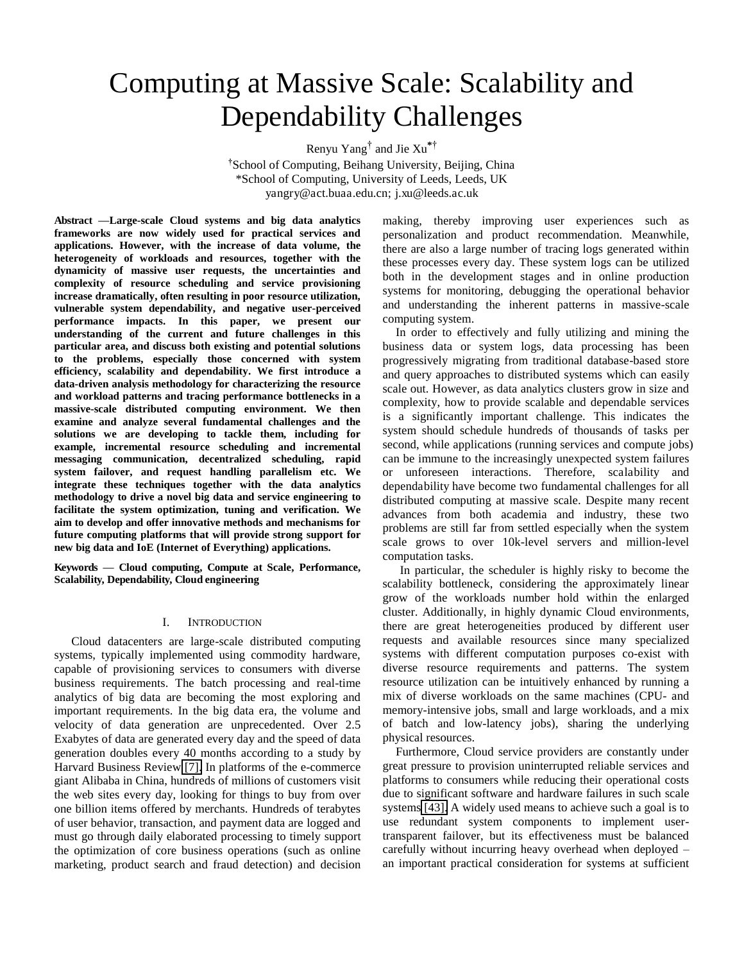# Computing at Massive Scale: Scalability and Dependability Challenges

Renyu Yang† and Jie Xu**\***†

**†**School of Computing, Beihang University, Beijing, China \*School of Computing, University of Leeds, Leeds, UK yangry@act.buaa.edu.cn; j.xu@leeds.ac.uk

**Abstract** *—***Large-scale Cloud systems and big data analytics frameworks are now widely used for practical services and applications. However, with the increase of data volume, the heterogeneity of workloads and resources, together with the dynamicity of massive user requests, the uncertainties and complexity of resource scheduling and service provisioning increase dramatically, often resulting in poor resource utilization, vulnerable system dependability, and negative user-perceived performance impacts. In this paper, we present our understanding of the current and future challenges in this particular area, and discuss both existing and potential solutions to the problems, especially those concerned with system efficiency, scalability and dependability. We first introduce a data-driven analysis methodology for characterizing the resource and workload patterns and tracing performance bottlenecks in a massive-scale distributed computing environment. We then examine and analyze several fundamental challenges and the solutions we are developing to tackle them, including for example, incremental resource scheduling and incremental messaging communication, decentralized scheduling, rapid system failover, and request handling parallelism etc. We integrate these techniques together with the data analytics methodology to drive a novel big data and service engineering to facilitate the system optimization, tuning and verification. We aim to develop and offer innovative methods and mechanisms for future computing platforms that will provide strong support for new big data and IoE (Internet of Everything) applications.** 

**Keywords** *—* **Cloud computing, Compute at Scale, Performance, Scalability, Dependability, Cloud engineering** 

## I. INTRODUCTION

Cloud datacenters are large-scale distributed computing systems, typically implemented using commodity hardware, capable of provisioning services to consumers with diverse business requirements. The batch processing and real-time analytics of big data are becoming the most exploring and important requirements. In the big data era, the volume and velocity of data generation are unprecedented. Over 2.5 Exabytes of data are generated every day and the speed of data generation doubles every 40 months according to a study by Harvard Business Review [\[7\].](#page-10-0) In platforms of the e-commerce giant Alibaba in China, hundreds of millions of customers visit the web sites every day, looking for things to buy from over one billion items offered by merchants. Hundreds of terabytes of user behavior, transaction, and payment data are logged and must go through daily elaborated processing to timely support the optimization of core business operations (such as online marketing, product search and fraud detection) and decision

making, thereby improving user experiences such as personalization and product recommendation. Meanwhile, there are also a large number of tracing logs generated within these processes every day. These system logs can be utilized both in the development stages and in online production systems for monitoring, debugging the operational behavior and understanding the inherent patterns in massive-scale computing system.

<span id="page-1-0"></span>In order to effectively and fully utilizing and mining the business data or system logs, data processing has been progressively migrating from traditional database-based store and query approaches to distributed systems which can easily scale out. However, as data analytics clusters grow in size and complexity, how to provide scalable and dependable services is a significantly important challenge. This indicates the system should schedule hundreds of thousands of tasks per second, while applications (running services and compute jobs) can be immune to the increasingly unexpected system failures or unforeseen interactions. Therefore, scalability and dependability have become two fundamental challenges for all distributed computing at massive scale. Despite many recent advances from both academia and industry, these two problems are still far from settled especially when the system scale grows to over 10k-level servers and million-level computation tasks.

In particular, the scheduler is highly risky to become the scalability bottleneck, considering the approximately linear grow of the workloads number hold within the enlarged cluster. Additionally, in highly dynamic Cloud environments, there are great heterogeneities produced by different user requests and available resources since many specialized systems with different computation purposes co-exist with diverse resource requirements and patterns. The system resource utilization can be intuitively enhanced by running a mix of diverse workloads on the same machines (CPU- and memory-intensive jobs, small and large workloads, and a mix of batch and low-latency jobs), sharing the underlying physical resources.

Furthermore, Cloud service providers are constantly under great pressure to provision uninterrupted reliable services and platforms to consumers while reducing their operational costs due to significant software and hardware failures in such scale systems [\[43\].](#page-11-0) A widely used means to achieve such a goal is to use redundant system components to implement usertransparent failover, but its effectiveness must be balanced carefully without incurring heavy overhead when deployed – an important practical consideration for systems at sufficient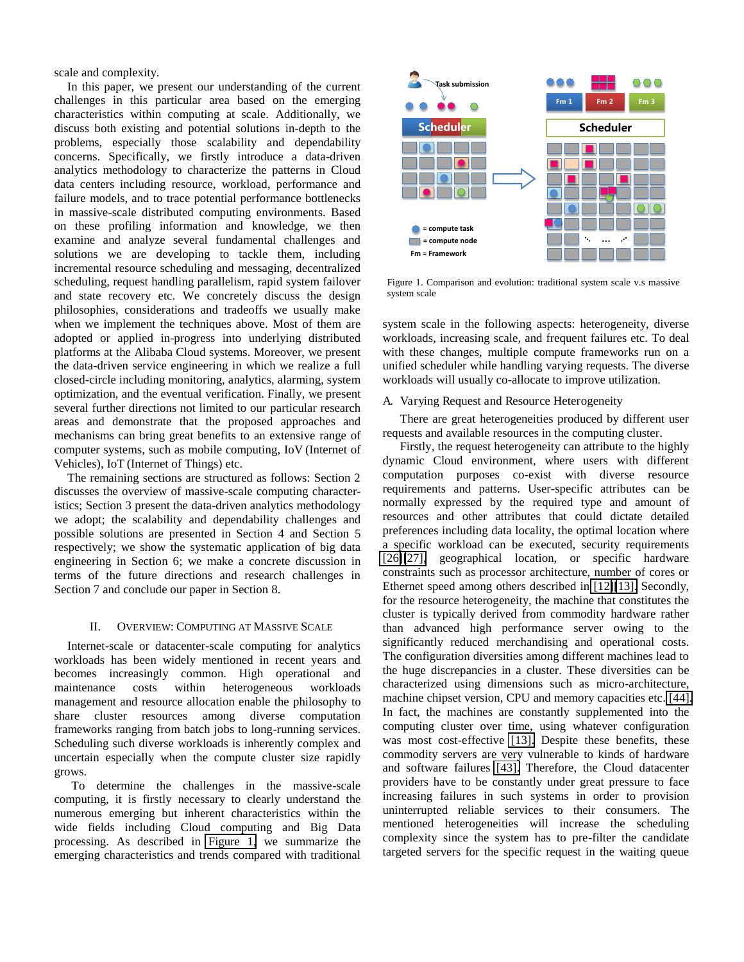scale and complexity.

In this paper, we present our understanding of the current challenges in this particular area based on the emerging characteristics within computing at scale. Additionally, we discuss both existing and potential solutions in-depth to the problems, especially those scalability and dependability concerns. Specifically, we firstly introduce a data-driven analytics methodology to characterize the patterns in Cloud data centers including resource, workload, performance and failure models, and to trace potential performance bottlenecks in massive-scale distributed computing environments. Based on these profiling information and knowledge, we then examine and analyze several fundamental challenges and solutions we are developing to tackle them, including incremental resource scheduling and messaging, decentralized scheduling, request handling parallelism, rapid system failover and state recovery etc. We concretely discuss the design philosophies, considerations and tradeoffs we usually make when we implement the techniques above. Most of them are adopted or applied in-progress into underlying distributed platforms at the Alibaba Cloud systems. Moreover, we present the data-driven service engineering in which we realize a full closed-circle including monitoring, analytics, alarming, system optimization, and the eventual verification. Finally, we present several further directions not limited to our particular research areas and demonstrate that the proposed approaches and mechanisms can bring great benefits to an extensive range of computer systems, such as mobile computing, IoV (Internet of Vehicles), IoT (Internet of Things) etc.

The remaining sections are structured as follows: Section 2 discusses the overview of massive-scale computing characteristics; Section 3 present the data-driven analytics methodology we adopt; the scalability and dependability challenges and possible solutions are presented in Section 4 and Section 5 respectively; we show the systematic application of big data engineering in Section 6; we make a concrete discussion in terms of the future directions and research challenges in Section 7 and conclude our paper in Section 8.

# II. OVERVIEW: COMPUTING AT MASSIVE SCALE

Internet-scale or datacenter-scale computing for analytics workloads has been widely mentioned in recent years and becomes increasingly common. High operational and maintenance costs within heterogeneous workloads management and resource allocation enable the philosophy to share cluster resources among diverse computation frameworks ranging from batch jobs to long-running services. Scheduling such diverse workloads is inherently complex and uncertain especially when the compute cluster size rapidly grows.

To determine the challenges in the massive-scale computing, it is firstly necessary to clearly understand the numerous emerging but inherent characteristics within the wide fields including Cloud computing and Big Data processing. As described in [Figure 1,](#page-1-0) we summarize the emerging characteristics and trends compared with traditional



Figure 1. Comparison and evolution: traditional system scale v.s massive system scale

system scale in the following aspects: heterogeneity, diverse workloads, increasing scale, and frequent failures etc. To deal with these changes, multiple compute frameworks run on a unified scheduler while handling varying requests. The diverse workloads will usually co-allocate to improve utilization.

# A. Varying Request and Resource Heterogeneity

There are great heterogeneities produced by different user requests and available resources in the computing cluster.

Firstly, the request heterogeneity can attribute to the highly dynamic Cloud environment, where users with different computation purposes co-exist with diverse resource requirements and patterns. User-specific attributes can be normally expressed by the required type and amount of resources and other attributes that could dictate detailed preferences including data locality, the optimal location where a specific workload can be executed, security requirements [\[26\]\[27\],](#page-10-1) geographical location, or specific hardware constraints such as processor architecture, number of cores or Ethernet speed among others described in [\[12\]\[13\].](#page-10-2) Secondly, for the resource heterogeneity, the machine that constitutes the cluster is typically derived from commodity hardware rather than advanced high performance server owing to the significantly reduced merchandising and operational costs. The configuration diversities among different machines lead to the huge discrepancies in a cluster. These diversities can be characterized using dimensions such as micro-architecture, machine chipset version, CPU and memory capacities etc[. \[44\].](#page-11-1)  In fact, the machines are constantly supplemented into the computing cluster over time, using whatever configuration was most cost-effective [\[13\].](#page-10-3) Despite these benefits, these commodity servers are very vulnerable to kinds of hardware and software failures [\[43\].](#page-11-0) Therefore, the Cloud datacenter providers have to be constantly under great pressure to face increasing failures in such systems in order to provision uninterrupted reliable services to their consumers. The mentioned heterogeneities will increase the scheduling complexity since the system has to pre-filter the candidate targeted servers for the specific request in the waiting queue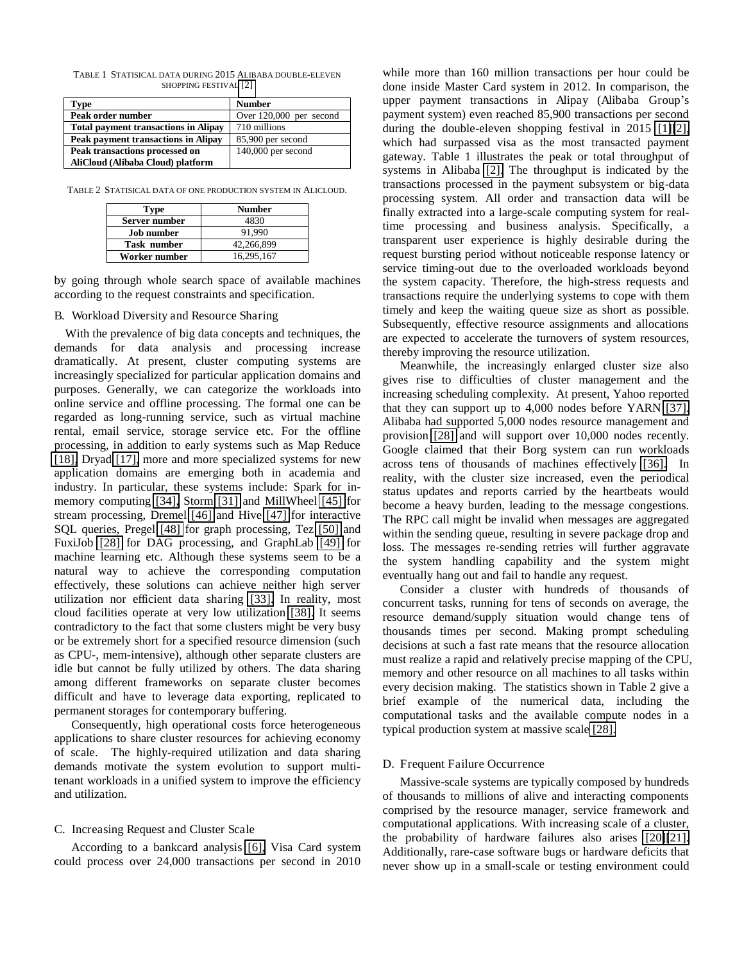TABLE 1 STATISICAL DATA DURING 2015 ALIBABA DOUBLE-ELEVEN SHOPPING FESTIVAL [\[2\]](#page-10-8) 

| Type                                        | <b>Number</b>           |
|---------------------------------------------|-------------------------|
| Peak order number                           | Over 120,000 per second |
| <b>Total payment transactions in Alipay</b> | 710 millions            |
| Peak payment transactions in Alipay         | 85,900 per second       |
| Peak transactions processed on              | $140,000$ per second    |
| AliCloud (Alibaba Cloud) platform           |                         |

TABLE 2 STATISICAL DATA OF ONE PRODUCTION SYSTEM IN ALICLOUD.

| Type               | Number     |
|--------------------|------------|
| Server number      | 4830       |
| <b>Job number</b>  | 91.990     |
| <b>Task number</b> | 42.266.899 |
| Worker number      | 16.295.167 |

by going through whole search space of available machines according to the request constraints and specification.

# B. Workload Diversity and Resource Sharing

With the prevalence of big data concepts and techniques, the demands for data analysis and processing increase dramatically. At present, cluster computing systems are increasingly specialized for particular application domains and purposes. Generally, we can categorize the workloads into online service and offline processing. The formal one can be regarded as long-running service, such as virtual machine rental, email service, storage service etc. For the offline processing, in addition to early systems such as Map Reduce [\[18\],](#page-10-4) Dryad [\[17\],](#page-10-5) more and more specialized systems for new application domains are emerging both in academia and industry. In particular, these systems include: Spark for inmemory computing [\[34\],](#page-11-2) Storm [\[31\]](#page-11-3) and MillWheel [\[45\]](#page-11-4) for stream processing, Dremel [\[46\]](#page-11-5) and Hive [\[47\]](#page-11-6) for interactive SQL queries, Pregel [\[48\]](#page-11-7) for graph processing, Tez [\[50\]](#page-11-8) and FuxiJob [\[28\]](#page-11-9) for DAG processing, and GraphLab [\[49\]](#page-11-10) for machine learning etc. Although these systems seem to be a natural way to achieve the corresponding computation effectively, these solutions can achieve neither high server utilization nor efficient data sharing [\[33\].](#page-11-11) In reality, most cloud facilities operate at very low utilization [\[38\].](#page-11-12) It seems contradictory to the fact that some clusters might be very busy or be extremely short for a specified resource dimension (such as CPU-, mem-intensive), although other separate clusters are idle but cannot be fully utilized by others. The data sharing among different frameworks on separate cluster becomes difficult and have to leverage data exporting, replicated to permanent storages for contemporary buffering.

Consequently, high operational costs force heterogeneous applications to share cluster resources for achieving economy of scale. The highly-required utilization and data sharing demands motivate the system evolution to support multitenant workloads in a unified system to improve the efficiency and utilization.

# C. Increasing Request and Cluster Scale

According to a bankcard analysis [\[6\],](#page-10-6) Visa Card system could process over 24,000 transactions per second in 2010

<span id="page-3-0"></span>while more than 160 million transactions per hour could be done inside Master Card system in 2012. In comparison, the upper payment transactions in Alipay (Alibaba Group's payment system) even reached 85,900 transactions per second during the double-eleven shopping festival in 2015 [\[1\]\[2\],](#page-10-7) which had surpassed visa as the most transacted payment gateway. Table 1 illustrates the peak or total throughput of systems in Alibaba [\[2\].](#page-10-8) The throughput is indicated by the transactions processed in the payment subsystem or big-data processing system. All order and transaction data will be finally extracted into a large-scale computing system for realtime processing and business analysis. Specifically, a transparent user experience is highly desirable during the request bursting period without noticeable response latency or service timing-out due to the overloaded workloads beyond the system capacity. Therefore, the high-stress requests and transactions require the underlying systems to cope with them timely and keep the waiting queue size as short as possible. Subsequently, effective resource assignments and allocations are expected to accelerate the turnovers of system resources, thereby improving the resource utilization.

Meanwhile, the increasingly enlarged cluster size also gives rise to difficulties of cluster management and the increasing scheduling complexity. At present, Yahoo reported that they can support up to 4,000 nodes before YARN [\[37\].](#page-11-13) Alibaba had supported 5,000 nodes resource management and provision [\[28\]](#page-11-9) and will support over 10,000 nodes recently. Google claimed that their Borg system can run workloads across tens of thousands of machines effectively [\[36\].](#page-11-14) In reality, with the cluster size increased, even the periodical status updates and reports carried by the heartbeats would become a heavy burden, leading to the message congestions. The RPC call might be invalid when messages are aggregated within the sending queue, resulting in severe package drop and loss. The messages re-sending retries will further aggravate the system handling capability and the system might eventually hang out and fail to handle any request.

Consider a cluster with hundreds of thousands of concurrent tasks, running for tens of seconds on average, the resource demand/supply situation would change tens of thousands times per second. Making prompt scheduling decisions at such a fast rate means that the resource allocation must realize a rapid and relatively precise mapping of the CPU, memory and other resource on all machines to all tasks within every decision making. The statistics shown in Table 2 give a brief example of the numerical data, including the computational tasks and the available compute nodes in a typical production system at massive scal[e \[28\].](#page-11-9)

# D. Frequent Failure Occurrence

Massive-scale systems are typically composed by hundreds of thousands to millions of alive and interacting components comprised by the resource manager, service framework and computational applications. With increasing scale of a cluster, the probability of hardware failures also arises [\[20\]\[21\].](#page-10-9) Additionally, rare-case software bugs or hardware deficits that never show up in a small-scale or testing environment could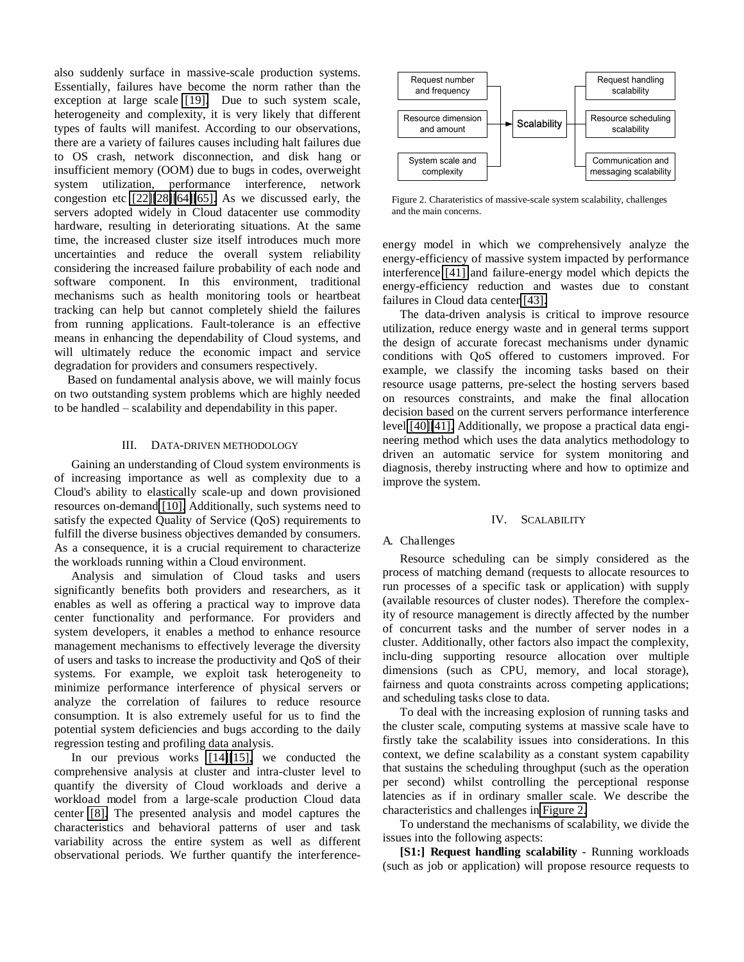also suddenly surface in massive-scale production systems. Essentially, failures have become the norm rather than the exception at large scale [\[19\].](#page-10-10) Due to such system scale, heterogeneity and complexity, it is very likely that different types of faults will manifest. According to our observations, there are a variety of failures causes including halt failures due to OS crash, network disconnection, and disk hang or insufficient memory (OOM) due to bugs in codes, overweight system utilization, performance interference, network congestion etc [\[22\]\[28\]](#page-10-11)[\[64\]\[65\].](#page-11-15) As we discussed early, the servers adopted widely in Cloud datacenter use commodity hardware, resulting in deteriorating situations. At the same time, the increased cluster size itself introduces much more uncertainties and reduce the overall system reliability considering the increased failure probability of each node and software component. In this environment, traditional mechanisms such as health monitoring tools or heartbeat tracking can help but cannot completely shield the failures from running applications. Fault-tolerance is an effective means in enhancing the dependability of Cloud systems, and will ultimately reduce the economic impact and service degradation for providers and consumers respectively.

<span id="page-4-0"></span>Based on fundamental analysis above, we will mainly focus on two outstanding system problems which are highly needed to be handled – scalability and dependability in this paper.

#### III. DATA-DRIVEN METHODOLOGY

Gaining an understanding of Cloud system environments is of increasing importance as well as complexity due to a Cloud's ability to elastically scale-up and down provisioned resources on-demand [\[10\].](#page-10-12) Additionally, such systems need to satisfy the expected Quality of Service (QoS) requirements to fulfill the diverse business objectives demanded by consumers. As a consequence, it is a crucial requirement to characterize the workloads running within a Cloud environment.

Analysis and simulation of Cloud tasks and users significantly benefits both providers and researchers, as it enables as well as offering a practical way to improve data center functionality and performance. For providers and system developers, it enables a method to enhance resource management mechanisms to effectively leverage the diversity of users and tasks to increase the productivity and QoS of their systems. For example, we exploit task heterogeneity to minimize performance interference of physical servers or analyze the correlation of failures to reduce resource consumption. It is also extremely useful for us to find the potential system deficiencies and bugs according to the daily regression testing and profiling data analysis.

In our previous works [\[14\]\[15\],](#page-10-13) we conducted the comprehensive analysis at cluster and intra-cluster level to quantify the diversity of Cloud workloads and derive a workload model from a large-scale production Cloud data center [\[8\].](#page-10-14) The presented analysis and model captures the characteristics and behavioral patterns of user and task variability across the entire system as well as different observational periods. We further quantify the interference-



Figure 2. Charateristics of massive-scale system scalability, challenges and the main concerns.

energy model in which we comprehensively analyze the energy-efficiency of massive system impacted by performance interference [\[41\]](#page-11-16) and failure-energy model which depicts the energy-efficiency reduction and wastes due to constant failures in Cloud data center [\[43\].](#page-11-0)

The data-driven analysis is critical to improve resource utilization, reduce energy waste and in general terms support the design of accurate forecast mechanisms under dynamic conditions with QoS offered to customers improved. For example, we classify the incoming tasks based on their resource usage patterns, pre-select the hosting servers based on resources constraints, and make the final allocation decision based on the current servers performance interference level [\[40\]\[41\].](#page-11-17) Additionally, we propose a practical data engineering method which uses the data analytics methodology to driven an automatic service for system monitoring and diagnosis, thereby instructing where and how to optimize and improve the system.

#### IV. SCALABILITY

### A. Challenges

Resource scheduling can be simply considered as the process of matching demand (requests to allocate resources to run processes of a specific task or application) with supply (available resources of cluster nodes). Therefore the complexity of resource management is directly affected by the number of concurrent tasks and the number of server nodes in a cluster. Additionally, other factors also impact the complexity, inclu-ding supporting resource allocation over multiple dimensions (such as CPU, memory, and local storage), fairness and quota constraints across competing applications; and scheduling tasks close to data.

To deal with the increasing explosion of running tasks and the cluster scale, computing systems at massive scale have to firstly take the scalability issues into considerations. In this context, we define scalability as a constant system capability that sustains the scheduling throughput (such as the operation per second) whilst controlling the perceptional response latencies as if in ordinary smaller scale. We describe the characteristics and challenges i[n Figure 2.](#page-3-0)

To understand the mechanisms of scalability, we divide the issues into the following aspects:

**[S1:] Request handling scalability** - Running workloads (such as job or application) will propose resource requests to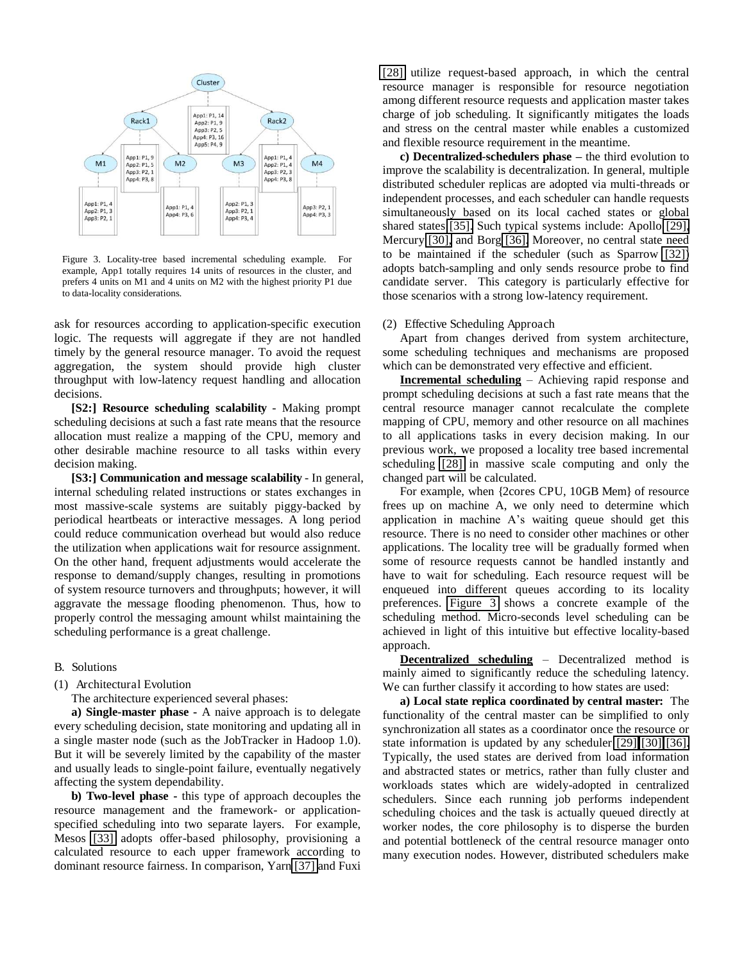

Figure 3. Locality-tree based incremental scheduling example. For example, App1 totally requires 14 units of resources in the cluster, and prefers 4 units on M1 and 4 units on M2 with the highest priority P1 due to data-locality considerations.

ask for resources according to application-specific execution logic. The requests will aggregate if they are not handled timely by the general resource manager. To avoid the request aggregation, the system should provide high cluster throughput with low-latency request handling and allocation decisions.

<span id="page-5-0"></span>**[S2:] Resource scheduling scalability** - Making prompt scheduling decisions at such a fast rate means that the resource allocation must realize a mapping of the CPU, memory and other desirable machine resource to all tasks within every decision making.

**[S3:] Communication and message scalability** - In general, internal scheduling related instructions or states exchanges in most massive-scale systems are suitably piggy-backed by periodical heartbeats or interactive messages. A long period could reduce communication overhead but would also reduce the utilization when applications wait for resource assignment. On the other hand, frequent adjustments would accelerate the response to demand/supply changes, resulting in promotions of system resource turnovers and throughputs; however, it will aggravate the message flooding phenomenon. Thus, how to properly control the messaging amount whilst maintaining the scheduling performance is a great challenge.

## B. Solutions

#### (1) Architectural Evolution

#### The architecture experienced several phases:

**a) Single-master phase -** A naive approach is to delegate every scheduling decision, state monitoring and updating all in a single master node (such as the JobTracker in Hadoop 1.0). But it will be severely limited by the capability of the master and usually leads to single-point failure, eventually negatively affecting the system dependability.

**b) Two-level phase -** this type of approach decouples the resource management and the framework- or applicationspecified scheduling into two separate layers. For example, Mesos [\[33\]](#page-11-11) adopts offer-based philosophy, provisioning a calculated resource to each upper framework according to dominant resource fairness. In comparison, Yarn [\[37\]](#page-11-13) and Fuxi [\[28\]](#page-11-9) utilize request-based approach, in which the central resource manager is responsible for resource negotiation among different resource requests and application master takes charge of job scheduling. It significantly mitigates the loads and stress on the central master while enables a customized and flexible resource requirement in the meantime.

**c) Decentralized-schedulers phase –** the third evolution to improve the scalability is decentralization. In general, multiple distributed scheduler replicas are adopted via multi-threads or independent processes, and each scheduler can handle requests simultaneously based on its local cached states or global shared states [\[35\].](#page-11-18) Such typical systems include: Apollo [\[29\],](#page-11-19) Mercury [\[30\],](#page-11-20) and Borg [\[36\].](#page-11-14) Moreover, no central state need to be maintained if the scheduler (such as Sparrow [\[32\]\)](#page-11-21) adopts batch-sampling and only sends resource probe to find candidate server. This category is particularly effective for those scenarios with a strong low-latency requirement.

# (2) Effective Scheduling Approach

Apart from changes derived from system architecture, some scheduling techniques and mechanisms are proposed which can be demonstrated very effective and efficient.

**Incremental scheduling** *–* Achieving rapid response and prompt scheduling decisions at such a fast rate means that the central resource manager cannot recalculate the complete mapping of CPU, memory and other resource on all machines to all applications tasks in every decision making. In our previous work, we proposed a locality tree based incremental scheduling [\[28\]](#page-11-9) in massive scale computing and only the changed part will be calculated.

For example, when {2cores CPU, 10GB Mem} of resource frees up on machine A, we only need to determine which application in machine A's waiting queue should get this resource. There is no need to consider other machines or other applications. The locality tree will be gradually formed when some of resource requests cannot be handled instantly and have to wait for scheduling. Each resource request will be enqueued into different queues according to its locality preferences. [Figure 3](#page-4-0) shows a concrete example of the scheduling method. Micro-seconds level scheduling can be achieved in light of this intuitive but effective locality-based approach.

**Decentralized scheduling** *–* Decentralized method is mainly aimed to significantly reduce the scheduling latency. We can further classify it according to how states are used:

**a) Local state replica coordinated by central master:** The functionality of the central master can be simplified to only synchronization all states as a coordinator once the resource or state information is updated by any scheduler [\[29\]](#page-11-19) [\[30\]](#page-11-20) [\[36\].](#page-11-14) Typically, the used states are derived from load information and abstracted states or metrics, rather than fully cluster and workloads states which are widely-adopted in centralized schedulers. Since each running job performs independent scheduling choices and the task is actually queued directly at worker nodes, the core philosophy is to disperse the burden and potential bottleneck of the central resource manager onto many execution nodes. However, distributed schedulers make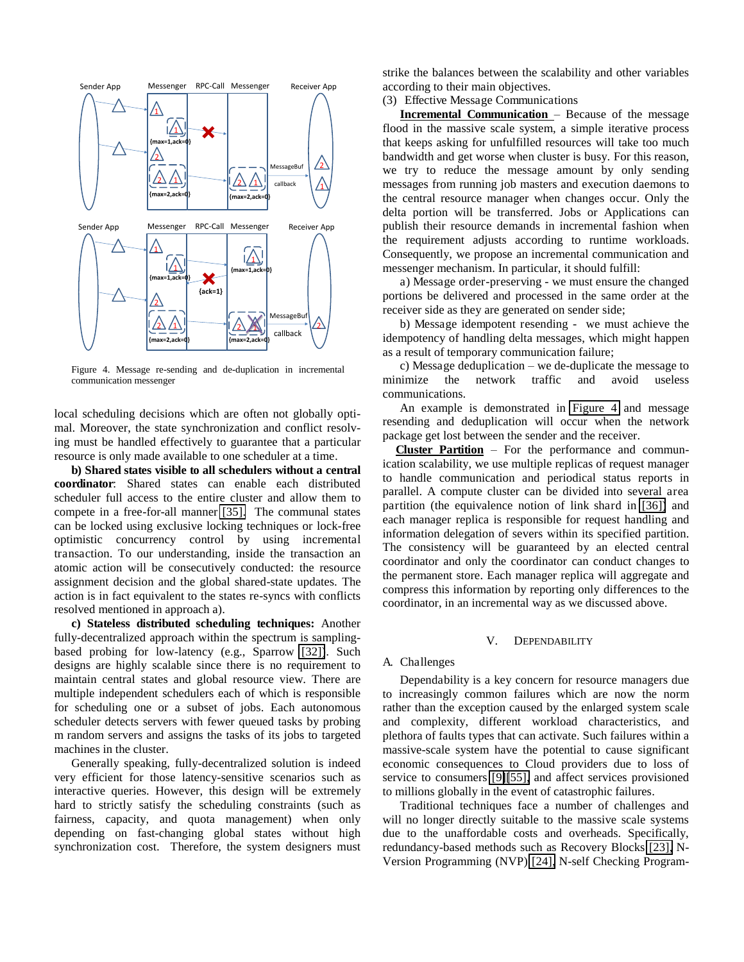

Figure 4. Message re-sending and de-duplication in incremental communication messenger

local scheduling decisions which are often not globally optimal. Moreover, the state synchronization and conflict resolving must be handled effectively to guarantee that a particular resource is only made available to one scheduler at a time.

**b) Shared states visible to all schedulers without a central coordinator**: Shared states can enable each distributed scheduler full access to the entire cluster and allow them to compete in a free-for-all manner [\[35\].](#page-11-18) The communal states can be locked using exclusive locking techniques or lock-free optimistic concurrency control by using incremental transaction. To our understanding, inside the transaction an atomic action will be consecutively conducted: the resource assignment decision and the global shared-state updates. The action is in fact equivalent to the states re-syncs with conflicts resolved mentioned in approach a).

**c) Stateless distributed scheduling techniques:** Another fully-decentralized approach within the spectrum is samplingbased probing for low-latency (e.g., Sparrow [\[32\]\)](#page-11-21). Such designs are highly scalable since there is no requirement to maintain central states and global resource view. There are multiple independent schedulers each of which is responsible for scheduling one or a subset of jobs. Each autonomous scheduler detects servers with fewer queued tasks by probing m random servers and assigns the tasks of its jobs to targeted machines in the cluster.

Generally speaking, fully-decentralized solution is indeed very efficient for those latency-sensitive scenarios such as interactive queries. However, this design will be extremely hard to strictly satisfy the scheduling constraints (such as fairness, capacity, and quota management) when only depending on fast-changing global states without high synchronization cost. Therefore, the system designers must strike the balances between the scalability and other variables according to their main objectives.

(3) Effective Message Communications

**Incremental Communication** *–* Because of the message flood in the massive scale system, a simple iterative process that keeps asking for unfulfilled resources will take too much bandwidth and get worse when cluster is busy. For this reason, we try to reduce the message amount by only sending messages from running job masters and execution daemons to the central resource manager when changes occur. Only the delta portion will be transferred. Jobs or Applications can publish their resource demands in incremental fashion when the requirement adjusts according to runtime workloads. Consequently, we propose an incremental communication and messenger mechanism. In particular, it should fulfill:

a) Message order-preserving - we must ensure the changed portions be delivered and processed in the same order at the receiver side as they are generated on sender side;

b) Message idempotent resending - we must achieve the idempotency of handling delta messages, which might happen as a result of temporary communication failure;

c) Message deduplication – we de-duplicate the message to minimize the network traffic and avoid useless communications.

An example is demonstrated in [Figure 4](#page-5-0) and message resending and deduplication will occur when the network package get lost between the sender and the receiver.

**Cluster Partition** *–* For the performance and communication scalability, we use multiple replicas of request manager to handle communication and periodical status reports in parallel. A compute cluster can be divided into several area partition (the equivalence notion of link shard in [\[36\]\)](#page-11-14) and each manager replica is responsible for request handling and information delegation of severs within its specified partition. The consistency will be guaranteed by an elected central coordinator and only the coordinator can conduct changes to the permanent store. Each manager replica will aggregate and compress this information by reporting only differences to the coordinator, in an incremental way as we discussed above.

#### V. DEPENDABILITY

# A. Challenges

Dependability is a key concern for resource managers due to increasingly common failures which are now the norm rather than the exception caused by the enlarged system scale and complexity, different workload characteristics, and plethora of faults types that can activate. Such failures within a massive-scale system have the potential to cause significant economic consequences to Cloud providers due to loss of service to consumers [\[9\]\[55\],](#page-10-15) and affect services provisioned to millions globally in the event of catastrophic failures.

Traditional techniques face a number of challenges and will no longer directly suitable to the massive scale systems due to the unaffordable costs and overheads. Specifically, redundancy-based methods such as Recovery Blocks [\[23\],](#page-10-16) N-Version Programming (NVP) [\[24\],](#page-10-17) N-self Checking Program-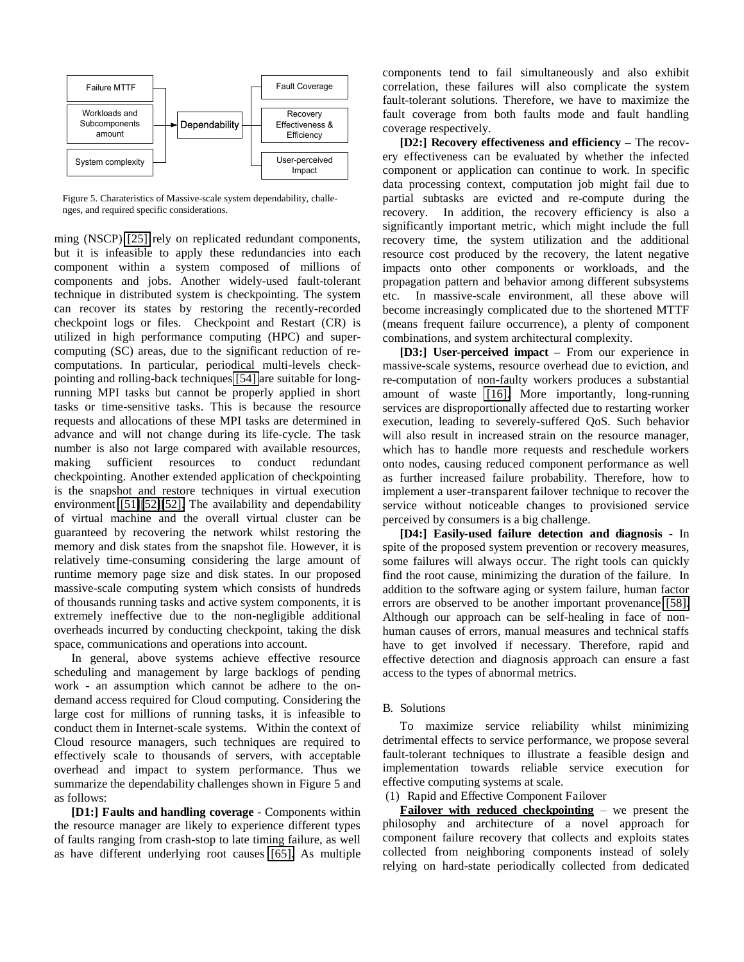

Figure 5. Charateristics of Massive-scale system dependability, challenges, and required specific considerations.

ming (NSCP) [\[25\]](#page-10-18) rely on replicated redundant components, but it is infeasible to apply these redundancies into each component within a system composed of millions of components and jobs. Another widely-used fault-tolerant technique in distributed system is checkpointing. The system can recover its states by restoring the recently-recorded checkpoint logs or files. Checkpoint and Restart (CR) is utilized in high performance computing (HPC) and supercomputing (SC) areas, due to the significant reduction of recomputations. In particular, periodical multi-levels checkpointing and rolling-back techniques [\[54\]](#page-11-22) are suitable for longrunning MPI tasks but cannot be properly applied in short tasks or time-sensitive tasks. This is because the resource requests and allocations of these MPI tasks are determined in advance and will not change during its life-cycle. The task number is also not large compared with available resources, making sufficient resources to conduct redundant checkpointing. Another extended application of checkpointing is the snapshot and restore techniques in virtual execution environment [\[51\]\[52\]](#page-11-23)[\[52\].](#page-11-24) The availability and dependability of virtual machine and the overall virtual cluster can be guaranteed by recovering the network whilst restoring the memory and disk states from the snapshot file. However, it is relatively time-consuming considering the large amount of runtime memory page size and disk states. In our proposed massive-scale computing system which consists of hundreds of thousands running tasks and active system components, it is extremely ineffective due to the non-negligible additional overheads incurred by conducting checkpoint, taking the disk space, communications and operations into account.

In general, above systems achieve effective resource scheduling and management by large backlogs of pending work - an assumption which cannot be adhere to the ondemand access required for Cloud computing. Considering the large cost for millions of running tasks, it is infeasible to conduct them in Internet-scale systems. Within the context of Cloud resource managers, such techniques are required to effectively scale to thousands of servers, with acceptable overhead and impact to system performance. Thus we summarize the dependability challenges shown in Figure 5 and as follows:

**[D1:] Faults and handling coverage** - Components within the resource manager are likely to experience different types of faults ranging from crash-stop to late timing failure, as well as have different underlying root causes [\[65\].](#page-11-25) As multiple components tend to fail simultaneously and also exhibit correlation, these failures will also complicate the system fault-tolerant solutions. Therefore, we have to maximize the fault coverage from both faults mode and fault handling coverage respectively.

**[D2:] Recovery effectiveness and efficiency – The recov**ery effectiveness can be evaluated by whether the infected component or application can continue to work. In specific data processing context, computation job might fail due to partial subtasks are evicted and re-compute during the recovery. In addition, the recovery efficiency is also a significantly important metric, which might include the full recovery time, the system utilization and the additional resource cost produced by the recovery, the latent negative impacts onto other components or workloads, and the propagation pattern and behavior among different subsystems etc. In massive-scale environment, all these above will become increasingly complicated due to the shortened MTTF (means frequent failure occurrence), a plenty of component combinations, and system architectural complexity.

**[D3:] User-perceived impact** *–* From our experience in massive-scale systems, resource overhead due to eviction, and re-computation of non-faulty workers produces a substantial amount of waste [\[16\].](#page-10-19) More importantly, long-running services are disproportionally affected due to restarting worker execution, leading to severely-suffered QoS. Such behavior will also result in increased strain on the resource manager, which has to handle more requests and reschedule workers onto nodes, causing reduced component performance as well as further increased failure probability. Therefore, how to implement a user-transparent failover technique to recover the service without noticeable changes to provisioned service perceived by consumers is a big challenge.

**[D4:] Easily-used failure detection and diagnosis** - In spite of the proposed system prevention or recovery measures, some failures will always occur. The right tools can quickly find the root cause, minimizing the duration of the failure. In addition to the software aging or system failure, human factor errors are observed to be another important provenance [\[58\].](#page-11-26) Although our approach can be self-healing in face of nonhuman causes of errors, manual measures and technical staffs have to get involved if necessary. Therefore, rapid and effective detection and diagnosis approach can ensure a fast access to the types of abnormal metrics.

# B. Solutions

To maximize service reliability whilst minimizing detrimental effects to service performance, we propose several fault-tolerant techniques to illustrate a feasible design and implementation towards reliable service execution for effective computing systems at scale.

(1) Rapid and Effective Component Failover

**Failover with reduced checkpointing – we present the** philosophy and architecture of a novel approach for component failure recovery that collects and exploits states collected from neighboring components instead of solely relying on hard-state periodically collected from dedicated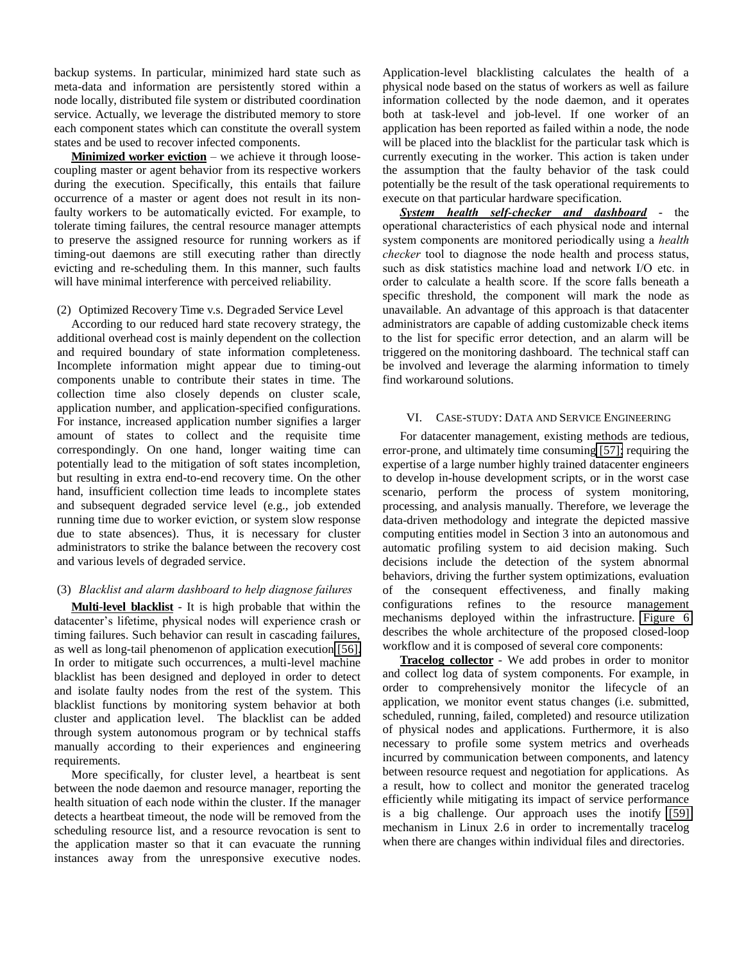backup systems. In particular, minimized hard state such as meta-data and information are persistently stored within a node locally, distributed file system or distributed coordination service. Actually, we leverage the distributed memory to store each component states which can constitute the overall system states and be used to recover infected components.

**Minimized worker eviction** – we achieve it through loosecoupling master or agent behavior from its respective workers during the execution. Specifically, this entails that failure occurrence of a master or agent does not result in its nonfaulty workers to be automatically evicted. For example, to tolerate timing failures, the central resource manager attempts to preserve the assigned resource for running workers as if timing-out daemons are still executing rather than directly evicting and re-scheduling them. In this manner, such faults will have minimal interference with perceived reliability.

(2) Optimized Recovery Time v.s. Degraded Service Level

<span id="page-8-0"></span>According to our reduced hard state recovery strategy, the additional overhead cost is mainly dependent on the collection and required boundary of state information completeness. Incomplete information might appear due to timing-out components unable to contribute their states in time. The collection time also closely depends on cluster scale, application number, and application-specified configurations. For instance, increased application number signifies a larger amount of states to collect and the requisite time correspondingly. On one hand, longer waiting time can potentially lead to the mitigation of soft states incompletion, but resulting in extra end-to-end recovery time. On the other hand, insufficient collection time leads to incomplete states and subsequent degraded service level (e.g., job extended running time due to worker eviction, or system slow response due to state absences). Thus, it is necessary for cluster administrators to strike the balance between the recovery cost and various levels of degraded service.

# (3) *Blacklist and alarm dashboard to help diagnose failures*

**Multi-level blacklist** - It is high probable that within the datacenter's lifetime, physical nodes will experience crash or timing failures. Such behavior can result in cascading failures, as well as long-tail phenomenon of application execution [\[56\].](#page-11-27) In order to mitigate such occurrences, a multi-level machine blacklist has been designed and deployed in order to detect and isolate faulty nodes from the rest of the system. This blacklist functions by monitoring system behavior at both cluster and application level. The blacklist can be added through system autonomous program or by technical staffs manually according to their experiences and engineering requirements.

More specifically, for cluster level, a heartbeat is sent between the node daemon and resource manager, reporting the health situation of each node within the cluster. If the manager detects a heartbeat timeout, the node will be removed from the scheduling resource list, and a resource revocation is sent to the application master so that it can evacuate the running instances away from the unresponsive executive nodes.

Application-level blacklisting calculates the health of a physical node based on the status of workers as well as failure information collected by the node daemon, and it operates both at task-level and job-level. If one worker of an application has been reported as failed within a node, the node will be placed into the blacklist for the particular task which is currently executing in the worker. This action is taken under the assumption that the faulty behavior of the task could potentially be the result of the task operational requirements to execute on that particular hardware specification.

*System health self***-***checker and dashboard* - the operational characteristics of each physical node and internal system components are monitored periodically using a *health checker* tool to diagnose the node health and process status, such as disk statistics machine load and network I/O etc. in order to calculate a health score. If the score falls beneath a specific threshold, the component will mark the node as unavailable. An advantage of this approach is that datacenter administrators are capable of adding customizable check items to the list for specific error detection, and an alarm will be triggered on the monitoring dashboard. The technical staff can be involved and leverage the alarming information to timely find workaround solutions.

# VI. CASE-STUDY: DATA AND SERVICE ENGINEERING

For datacenter management, existing methods are tedious, error-prone, and ultimately time consuming [\[57\];](#page-11-28) requiring the expertise of a large number highly trained datacenter engineers to develop in-house development scripts, or in the worst case scenario, perform the process of system monitoring, processing, and analysis manually. Therefore, we leverage the data-driven methodology and integrate the depicted massive computing entities model in Section 3 into an autonomous and automatic profiling system to aid decision making. Such decisions include the detection of the system abnormal behaviors, driving the further system optimizations, evaluation of the consequent effectiveness, and finally making configurations refines to the resource management mechanisms deployed within the infrastructure. [Figure 6](#page-8-0)  describes the whole architecture of the proposed closed-loop workflow and it is composed of several core components:

**Tracelog collector** - We add probes in order to monitor and collect log data of system components. For example, in order to comprehensively monitor the lifecycle of an application, we monitor event status changes (i.e. submitted, scheduled, running, failed, completed) and resource utilization of physical nodes and applications. Furthermore, it is also necessary to profile some system metrics and overheads incurred by communication between components, and latency between resource request and negotiation for applications. As a result, how to collect and monitor the generated tracelog efficiently while mitigating its impact of service performance is a big challenge. Our approach uses the inotify [\[59\]](#page-11-29)  mechanism in Linux 2.6 in order to incrementally tracelog when there are changes within individual files and directories.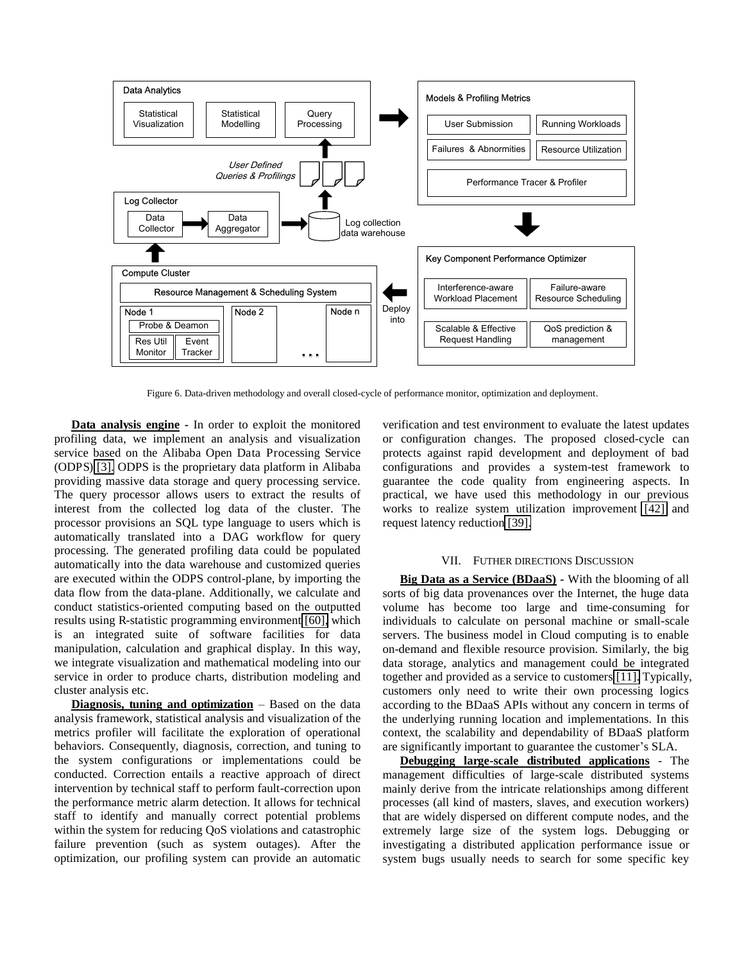

Figure 6. Data-driven methodology and overall closed-cycle of performance monitor, optimization and deployment.

**Data analysis engine -** In order to exploit the monitored profiling data, we implement an analysis and visualization service based on the Alibaba Open Data Processing Service (ODPS) [\[3\].](#page-10-20) ODPS is the proprietary data platform in Alibaba providing massive data storage and query processing service. The query processor allows users to extract the results of interest from the collected log data of the cluster. The processor provisions an SQL type language to users which is automatically translated into a DAG workflow for query processing. The generated profiling data could be populated automatically into the data warehouse and customized queries are executed within the ODPS control-plane, by importing the data flow from the data-plane. Additionally, we calculate and conduct statistics-oriented computing based on the outputted results using R-statistic programming environment [\[60\],](#page-11-30) which is an integrated suite of software facilities for data manipulation, calculation and graphical display. In this way, we integrate visualization and mathematical modeling into our service in order to produce charts, distribution modeling and cluster analysis etc.

**Diagnosis, tuning and optimization** – Based on the data analysis framework, statistical analysis and visualization of the metrics profiler will facilitate the exploration of operational behaviors. Consequently, diagnosis, correction, and tuning to the system configurations or implementations could be conducted. Correction entails a reactive approach of direct intervention by technical staff to perform fault-correction upon the performance metric alarm detection. It allows for technical staff to identify and manually correct potential problems within the system for reducing QoS violations and catastrophic failure prevention (such as system outages). After the optimization, our profiling system can provide an automatic

verification and test environment to evaluate the latest updates or configuration changes. The proposed closed-cycle can protects against rapid development and deployment of bad configurations and provides a system-test framework to guarantee the code quality from engineering aspects. In practical, we have used this methodology in our previous works to realize system utilization improvement [\[42\]](#page-11-31) and request latency reduction [\[39\].](#page-11-32)

## VII. FUTHER DIRECTIONS DISCUSSION

**Big Data as a Service (BDaaS) -** With the blooming of all sorts of big data provenances over the Internet, the huge data volume has become too large and time-consuming for individuals to calculate on personal machine or small-scale servers. The business model in Cloud computing is to enable on-demand and flexible resource provision. Similarly, the big data storage, analytics and management could be integrated together and provided as a service to customers [\[11\].](#page-10-21) Typically, customers only need to write their own processing logics according to the BDaaS APIs without any concern in terms of the underlying running location and implementations. In this context, the scalability and dependability of BDaaS platform are significantly important to guarantee the customer's SLA.

**Debugging large-scale distributed applications** - The management difficulties of large-scale distributed systems mainly derive from the intricate relationships among different processes (all kind of masters, slaves, and execution workers) that are widely dispersed on different compute nodes, and the extremely large size of the system logs. Debugging or investigating a distributed application performance issue or system bugs usually needs to search for some specific key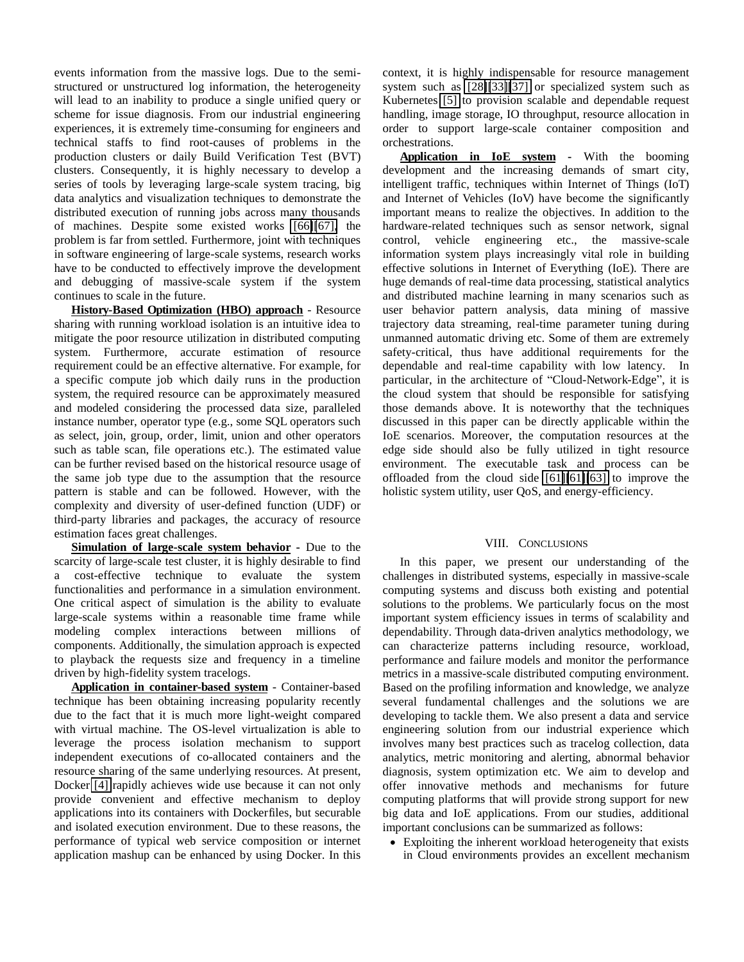events information from the massive logs. Due to the semistructured or unstructured log information, the heterogeneity will lead to an inability to produce a single unified query or scheme for issue diagnosis. From our industrial engineering experiences, it is extremely time-consuming for engineers and technical staffs to find root-causes of problems in the production clusters or daily Build Verification Test (BVT) clusters. Consequently, it is highly necessary to develop a series of tools by leveraging large-scale system tracing, big data analytics and visualization techniques to demonstrate the distributed execution of running jobs across many thousands of machines. Despite some existed works [\[66\]\[67\],](#page-11-33) the problem is far from settled. Furthermore, joint with techniques in software engineering of large-scale systems, research works have to be conducted to effectively improve the development and debugging of massive-scale system if the system continues to scale in the future.

**History-Based Optimization (HBO) approach** - Resource sharing with running workload isolation is an intuitive idea to mitigate the poor resource utilization in distributed computing system. Furthermore, accurate estimation of resource requirement could be an effective alternative. For example, for a specific compute job which daily runs in the production system, the required resource can be approximately measured and modeled considering the processed data size, paralleled instance number, operator type (e.g., some SQL operators such as select, join, group, order, limit, union and other operators such as table scan, file operations etc.). The estimated value can be further revised based on the historical resource usage of the same job type due to the assumption that the resource pattern is stable and can be followed. However, with the complexity and diversity of user-defined function (UDF) or third-party libraries and packages, the accuracy of resource estimation faces great challenges.

**Simulation of large-scale system behavior** - Due to the scarcity of large-scale test cluster, it is highly desirable to find a cost-effective technique to evaluate the system functionalities and performance in a simulation environment. One critical aspect of simulation is the ability to evaluate large-scale systems within a reasonable time frame while modeling complex interactions between millions of components. Additionally, the simulation approach is expected to playback the requests size and frequency in a timeline driven by high-fidelity system tracelogs.

**Application in container-based system** - Container-based technique has been obtaining increasing popularity recently due to the fact that it is much more light-weight compared with virtual machine. The OS-level virtualization is able to leverage the process isolation mechanism to support independent executions of co-allocated containers and the resource sharing of the same underlying resources. At present, Docker [\[4\]](#page-10-22) rapidly achieves wide use because it can not only provide convenient and effective mechanism to deploy applications into its containers with Dockerfiles, but securable and isolated execution environment. Due to these reasons, the performance of typical web service composition or internet application mashup can be enhanced by using Docker. In this

<span id="page-10-8"></span><span id="page-10-7"></span>context, it is highly indispensable for resource management system such as [\[28\]\[33\]](#page-11-9)[\[37\]](#page-11-13) or specialized system such as Kubernetes [\[5\]](#page-10-23) to provision scalable and dependable request handling, image storage, IO throughput, resource allocation in order to support large-scale container composition and orchestrations.

<span id="page-10-23"></span><span id="page-10-22"></span><span id="page-10-21"></span><span id="page-10-20"></span><span id="page-10-15"></span><span id="page-10-14"></span><span id="page-10-12"></span><span id="page-10-6"></span><span id="page-10-0"></span>**Application in IoE system -** With the booming development and the increasing demands of smart city, intelligent traffic, techniques within Internet of Things (IoT) and Internet of Vehicles (IoV) have become the significantly important means to realize the objectives. In addition to the hardware-related techniques such as sensor network, signal control, vehicle engineering etc., the massive-scale information system plays increasingly vital role in building effective solutions in Internet of Everything (IoE). There are huge demands of real-time data processing, statistical analytics and distributed machine learning in many scenarios such as user behavior pattern analysis, data mining of massive trajectory data streaming, real-time parameter tuning during unmanned automatic driving etc. Some of them are extremely safety-critical, thus have additional requirements for the dependable and real-time capability with low latency. In particular, in the architecture of "Cloud-Network-Edge", it is the cloud system that should be responsible for satisfying those demands above. It is noteworthy that the techniques discussed in this paper can be directly applicable within the IoE scenarios. Moreover, the computation resources at the edge side should also be fully utilized in tight resource environment. The executable task and process can be offloaded from the cloud side [\[61\]\[61\]](#page-11-34)[\[63\]](#page-11-35) to improve the holistic system utility, user QoS, and energy-efficiency.

# VIII. CONCLUSIONS

<span id="page-10-19"></span><span id="page-10-13"></span><span id="page-10-11"></span><span id="page-10-10"></span><span id="page-10-9"></span><span id="page-10-5"></span><span id="page-10-4"></span><span id="page-10-3"></span><span id="page-10-2"></span>In this paper, we present our understanding of the challenges in distributed systems, especially in massive-scale computing systems and discuss both existing and potential solutions to the problems. We particularly focus on the most important system efficiency issues in terms of scalability and dependability. Through data-driven analytics methodology, we can characterize patterns including resource, workload, performance and failure models and monitor the performance metrics in a massive-scale distributed computing environment. Based on the profiling information and knowledge, we analyze several fundamental challenges and the solutions we are developing to tackle them. We also present a data and service engineering solution from our industrial experience which involves many best practices such as tracelog collection, data analytics, metric monitoring and alerting, abnormal behavior diagnosis, system optimization etc. We aim to develop and offer innovative methods and mechanisms for future computing platforms that will provide strong support for new big data and IoE applications. From our studies, additional important conclusions can be summarized as follows:

<span id="page-10-18"></span><span id="page-10-17"></span><span id="page-10-16"></span><span id="page-10-1"></span> Exploiting the inherent workload heterogeneity that exists in Cloud environments provides an excellent mechanism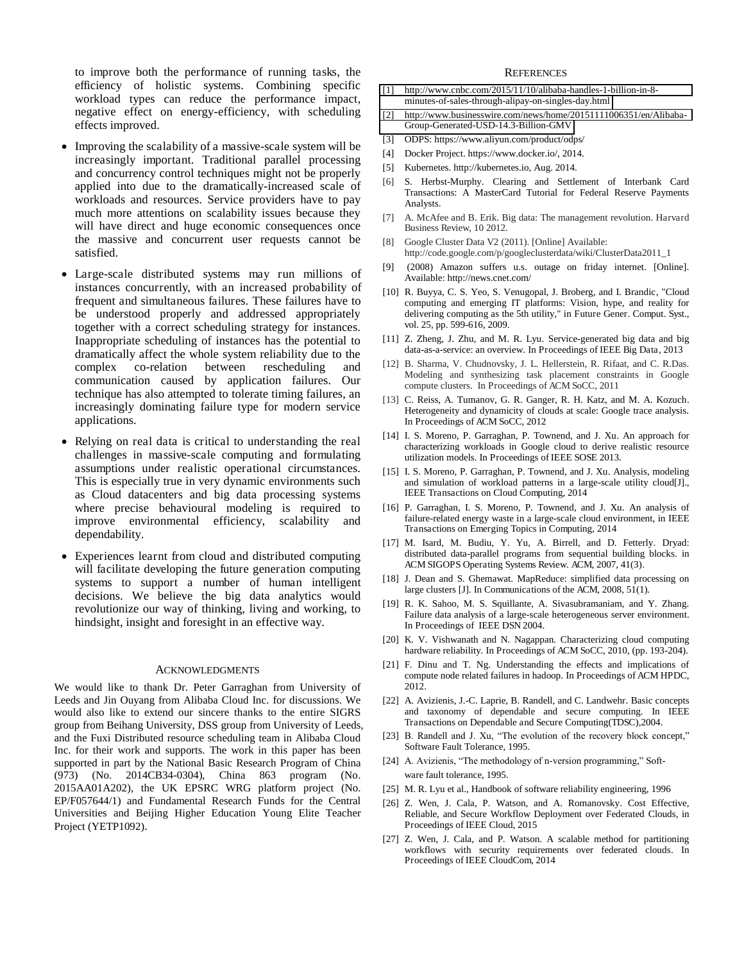<span id="page-11-9"></span>to improve both the performance of running tasks, the efficiency of holistic systems. Combining specific workload types can reduce the performance impact, negative effect on energy-efficiency, with scheduling effects improved.

- <span id="page-11-20"></span><span id="page-11-19"></span><span id="page-11-3"></span>• Improving the scalability of a massive-scale system will be increasingly important. Traditional parallel processing and concurrency control techniques might not be properly applied into due to the dramatically-increased scale of workloads and resources. Service providers have to pay much more attentions on scalability issues because they will have direct and huge economic consequences once the massive and concurrent user requests cannot be satisfied.
- <span id="page-11-21"></span><span id="page-11-18"></span><span id="page-11-11"></span><span id="page-11-2"></span> Large-scale distributed systems may run millions of instances concurrently, with an increased probability of frequent and simultaneous failures. These failures have to be understood properly and addressed appropriately together with a correct scheduling strategy for instances. Inappropriate scheduling of instances has the potential to dramatically affect the whole system reliability due to the complex co-relation between rescheduling and communication caused by application failures. Our technique has also attempted to tolerate timing failures, an increasingly dominating failure type for modern service applications.
- <span id="page-11-32"></span><span id="page-11-14"></span><span id="page-11-13"></span><span id="page-11-12"></span> Relying on real data is critical to understanding the real challenges in massive-scale computing and formulating assumptions under realistic operational circumstances. This is especially true in very dynamic environments such as Cloud datacenters and big data processing systems where precise behavioural modeling is required to improve environmental efficiency, scalability and dependability.
- <span id="page-11-31"></span><span id="page-11-17"></span><span id="page-11-16"></span> Experiences learnt from cloud and distributed computing will facilitate developing the future generation computing systems to support a number of human intelligent decisions. We believe the big data analytics would revolutionize our way of thinking, living and working, to hindsight, insight and foresight in an effective way.

#### ACKNOWLEDGMENTS

<span id="page-11-7"></span><span id="page-11-6"></span><span id="page-11-5"></span><span id="page-11-4"></span><span id="page-11-1"></span><span id="page-11-0"></span>We would like to thank Dr. Peter Garraghan from University of Leeds and Jin Ouyang from Alibaba Cloud Inc. for discussions. We would also like to extend our sincere thanks to the entire SIGRS group from Beihang University, DSS group from University of Leeds, and the Fuxi Distributed resource scheduling team in Alibaba Cloud Inc. for their work and supports. The work in this paper has been supported in part by the National Basic Research Program of China (973) (No. 2014CB34-0304), China 863 program (No. 2015AA01A202), the UK EPSRC WRG platform project (No. EP/F057644/1) and Fundamental Research Funds for the Central Universities and Beijing Higher Education Young Elite Teacher Project (YETP1092).

#### <span id="page-11-24"></span>**REFERENCES**

- <span id="page-11-10"></span>[1] [http://www.cnbc.com/2015/11/10/alibaba-handles-1-billion-in-8](http://www.cnbc.com/2015/11/10/alibaba-handles-1-billion-in-8-minutes-of-sales-through-alipay-on-singles-day.html) [minutes-of-sales-through-alipay-on-singles-day.html](http://www.cnbc.com/2015/11/10/alibaba-handles-1-billion-in-8-minutes-of-sales-through-alipay-on-singles-day.html)
- <span id="page-11-8"></span>[2] [http://www.businesswire.com/news/home/20151111006351/en/Alibaba-](http://www.businesswire.com/news/home/20151111006351/en/Alibaba-Group-Generated-USD-14.3-Billion-GMV)[Group-Generated-USD-14.3-Billion-GMV](http://www.businesswire.com/news/home/20151111006351/en/Alibaba-Group-Generated-USD-14.3-Billion-GMV)
- [3] ODPS: https://www.aliyun.com/product/odps/
- <span id="page-11-23"></span>[4] Docker Project. https://www.docker.io/, 2014.
- [5] Kubernetes. http://kubernetes.io, Aug. 2014.
- [6] S. Herbst-Murphy. Clearing and Settlement of Interbank Card Transactions: A MasterCard Tutorial for Federal Reserve Payments Analysts.
- [7] A. McAfee and B. Erik. Big data: The management revolution. Harvard Business Review, 10 2012.
- [8] Google Cluster Data V2 (2011). [Online] Available: http://code.google.com/p/googleclusterdata/wiki/ClusterData2011\_1
- <span id="page-11-22"></span>[9] (2008) Amazon suffers u.s. outage on friday internet. [Online]. Available: http://news.cnet.com/
- [10] R. Buyya, C. S. Yeo, S. Venugopal, J. Broberg, and I. Brandic, "Cloud computing and emerging IT platforms: Vision, hype, and reality for delivering computing as the 5th utility," in Future Gener. Comput. Syst., vol. 25, pp. 599-616, 2009.
- <span id="page-11-27"></span>[11] Z. Zheng, J. Zhu, and M. R. Lyu. Service-generated big data and big data-as-a-service: an overview. In Proceedings of IEEE Big Data, 2013
- <span id="page-11-28"></span>[12] B. Sharma, V. Chudnovsky, J. L. Hellerstein, R. Rifaat, and C. R.Das. Modeling and synthesizing task placement constraints in Google compute clusters. In Proceedings of ACM SoCC, 2011
- <span id="page-11-26"></span>[13] C. Reiss, A. Tumanov, G. R. Ganger, R. H. Katz, and M. A. Kozuch. Heterogeneity and dynamicity of clouds at scale: Google trace analysis. In Proceedings of ACM SoCC, 2012
- <span id="page-11-30"></span><span id="page-11-29"></span>[14] I. S. Moreno, P. Garraghan, P. Townend, and J. Xu. An approach for characterizing workloads in Google cloud to derive realistic resource utilization models. In Proceedings of IEEE SOSE 2013.
- <span id="page-11-34"></span>[15] I. S. Moreno, P. Garraghan, P. Townend, and J. Xu. Analysis, modeling and simulation of workload patterns in a large-scale utility cloud[J]., IEEE Transactions on Cloud Computing, 2014
- [16] P. Garraghan, I. S. Moreno, P. Townend, and J. Xu. An analysis of failure-related energy waste in a large-scale cloud environment, in IEEE Transactions on Emerging Topics in Computing, 2014
- <span id="page-11-35"></span><span id="page-11-15"></span>[17] M. Isard, M. Budiu, Y. Yu, A. Birrell, and D. Fetterly. Dryad: distributed data-parallel programs from sequential building blocks. in ACM SIGOPS Operating Systems Review. ACM, 2007, 41(3).
- <span id="page-11-25"></span>[18] J. Dean and S. Ghemawat. MapReduce: simplified data processing on large clusters [J]. In Communications of the ACM, 2008, 51(1).
- [19] R. K. Sahoo, M. S. Squillante, A. Sivasubramaniam, and Y. Zhang. Failure data analysis of a large-scale heterogeneous server environment. In Proceedings of IEEE DSN 2004.
- <span id="page-11-33"></span>[20] K. V. Vishwanath and N. Nagappan. Characterizing cloud computing hardware reliability. In Proceedings of ACM SoCC, 2010, (pp. 193-204).
- [21] F. Dinu and T. Ng. Understanding the effects and implications of compute node related failures in hadoop. In Proceedings of ACM HPDC, 2012.
- [22] A. Avizienis, J.-C. Laprie, B. Randell, and C. Landwehr. Basic concepts and taxonomy of dependable and secure computing. In IEEE Transactions on Dependable and Secure Computing(TDSC),2004.
- [23] B. Randell and J. Xu, "The evolution of the recovery block concept," Software Fault Tolerance, 1995.
- [24] A. Avizienis, "The methodology of n-version programming," Software fault tolerance, 1995.
- [25] M. R. Lyu et al., Handbook of software reliability engineering, 1996
- [26] Z. Wen, J. Cala, P. Watson, and A. Romanovsky. Cost Effective, Reliable, and Secure Workflow Deployment over Federated Clouds, in Proceedings of IEEE Cloud, 2015
- [27] Z. Wen, J. Cala, and P. Watson. A scalable method for partitioning workflows with security requirements over federated clouds. In Proceedings of IEEE CloudCom, 2014